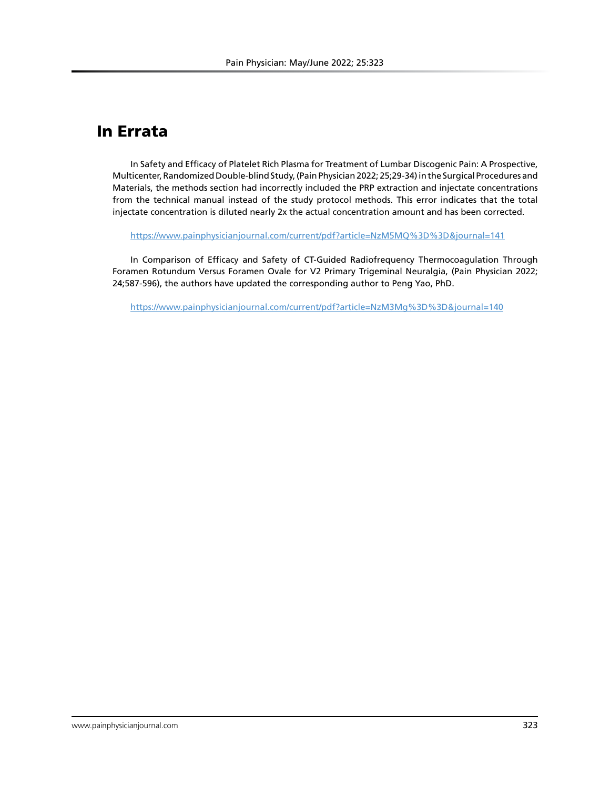# In Errata

In Safety and Efficacy of Platelet Rich Plasma for Treatment of Lumbar Discogenic Pain: A Prospective, Multicenter, Randomized Double-blind Study, (Pain Physician 2022; 25;29-34) in the Surgical Procedures and Materials, the methods section had incorrectly included the PRP extraction and injectate concentrations from the technical manual instead of the study protocol methods. This error indicates that the total injectate concentration is diluted nearly 2x the actual concentration amount and has been corrected.

https://www.painphysicianjournal.com/current/pdf?article=NzM5MQ%3D%3D&journal=141

In Comparison of Efficacy and Safety of CT-Guided Radiofrequency Thermocoagulation Through Foramen Rotundum Versus Foramen Ovale for V2 Primary Trigeminal Neuralgia, (Pain Physician 2022; 24;587-596), the authors have updated the corresponding author to Peng Yao, PhD.

https://www.painphysicianjournal.com/current/pdf?article=NzM3Mg%3D%3D&journal=140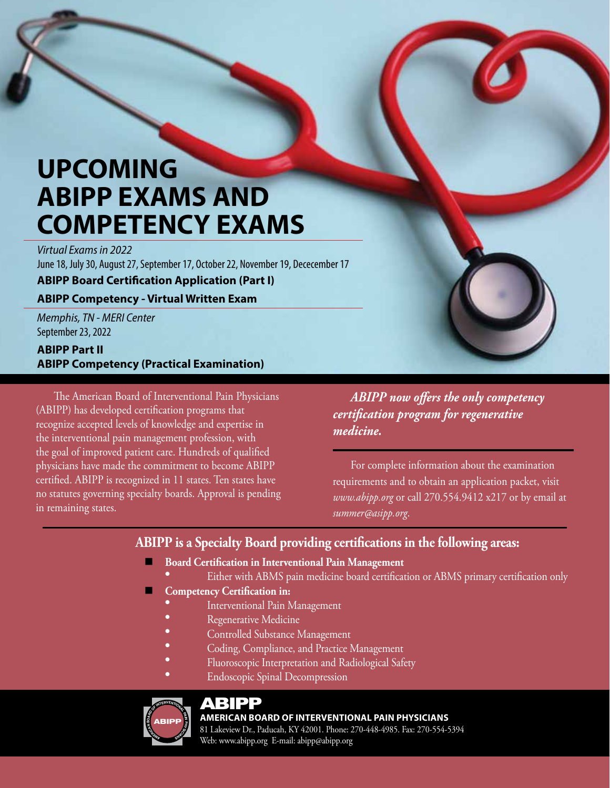# **UPCOMING ABIPP EXAMS AND COMPETENCY EXAMS**

*Virtual Exams in 2022* June 18, July 30, August 27, September 17, October 22, November 19, Dececember 17

**ABIPP Board Certification Application (Part I)** 

#### **ABIPP Competency - Virtual Written Exam**

*Memphis, TN - MERI Center* September 23, 2022

#### **ABIPP Part II ABIPP Competency (Practical Examination)**

The American Board of Interventional Pain Physicians (ABIPP) has developed certification programs that recognize accepted levels of knowledge and expertise in the interventional pain management profession, with the goal of improved patient care. Hundreds of qualified physicians have made the commitment to become ABIPP certified. ABIPP is recognized in 11 states. Ten states have no statutes governing specialty boards. Approval is pending in remaining states.

*ABIPP now offers the only competency certification program for regenerative medicine.* 

For complete information about the examination requirements and to obtain an application packet, visit *www.abipp.org* or call 270.554.9412 x217 or by email at *summer@asipp.org*.

## **ABIPP is a Specialty Board providing certifications in the following areas:**

- **Board Certification in Interventional Pain Management** 
	- Either with ABMS pain medicine board certification or ABMS primary certification only
- **Competency Certification in:** 
	- Interventional Pain Management
	- Regenerative Medicine
	- Controlled Substance Management
	- Coding, Compliance, and Practice Management
	- Fluoroscopic Interpretation and Radiological Safety
	- **Endoscopic Spinal Decompression**



### ABIPP

#### **AMERICAN BOARD OF INTERVENTIONAL PAIN PHYSICIANS**

81 Lakeview Dr., Paducah, KY 42001. Phone: 270-448-4985. Fax: 270-554-5394 Web: www.abipp.org E-mail: abipp@abipp.org